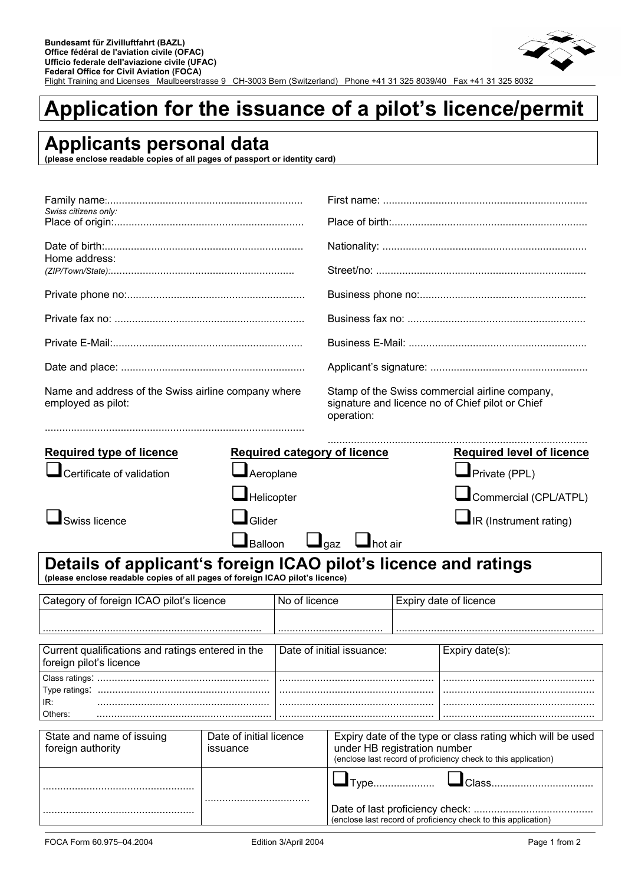

## **Application for the issuance of a pilot's licence/permit**

## **Applicants personal data**

**(please enclose readable copies of all pages of passport or identity card)** 

| Swiss citizens only:                                                                                                                             |                           |               |                                                                                                                                                              |  |                                                                                                    |  |  |
|--------------------------------------------------------------------------------------------------------------------------------------------------|---------------------------|---------------|--------------------------------------------------------------------------------------------------------------------------------------------------------------|--|----------------------------------------------------------------------------------------------------|--|--|
| Home address:                                                                                                                                    |                           |               |                                                                                                                                                              |  |                                                                                                    |  |  |
|                                                                                                                                                  |                           |               |                                                                                                                                                              |  |                                                                                                    |  |  |
|                                                                                                                                                  |                           |               |                                                                                                                                                              |  |                                                                                                    |  |  |
|                                                                                                                                                  |                           |               |                                                                                                                                                              |  |                                                                                                    |  |  |
|                                                                                                                                                  |                           |               |                                                                                                                                                              |  |                                                                                                    |  |  |
| Name and address of the Swiss airline company where<br>employed as pilot:                                                                        |                           |               | operation:                                                                                                                                                   |  | Stamp of the Swiss commercial airline company,<br>signature and licence no of Chief pilot or Chief |  |  |
| <b>Required type of licence</b>                                                                                                                  |                           |               | <b>Required category of licence</b>                                                                                                                          |  | <b>Required level of licence</b>                                                                   |  |  |
| Certificate of validation                                                                                                                        | $\blacksquare$ Aeroplane  |               |                                                                                                                                                              |  | $\blacksquare$ Private (PPL)                                                                       |  |  |
|                                                                                                                                                  | $\blacksquare$ Helicopter |               |                                                                                                                                                              |  | Commercial (CPL/ATPL)                                                                              |  |  |
| Swiss licence                                                                                                                                    | $\Box$ Glider             |               | $\blacksquare$ IR (Instrument rating)                                                                                                                        |  |                                                                                                    |  |  |
|                                                                                                                                                  | $\Box$ Balloon            | $\Box$ gaz    | $\mathbf{\mathbf{\perp}}$ hot air                                                                                                                            |  |                                                                                                    |  |  |
| Details of applicant's foreign ICAO pilot's licence and ratings<br>(please enclose readable copies of all pages of foreign ICAO pilot's licence) |                           |               |                                                                                                                                                              |  |                                                                                                    |  |  |
| Category of foreign ICAO pilot's licence                                                                                                         |                           | No of licence |                                                                                                                                                              |  | Expiry date of licence                                                                             |  |  |
|                                                                                                                                                  |                           |               |                                                                                                                                                              |  |                                                                                                    |  |  |
| Current qualifications and ratings entered in the<br>foreign pilot's licence                                                                     |                           |               | Date of initial issuance:                                                                                                                                    |  | Expiry date(s):                                                                                    |  |  |
| Type ratings:<br>IR:<br>Others:                                                                                                                  |                           |               |                                                                                                                                                              |  |                                                                                                    |  |  |
| State and name of issuing<br>foreign authority                                                                                                   | Date of initial licence   |               | Expiry date of the type or class rating which will be used<br>under HB registration number<br>(enclose last record of proficiency check to this application) |  |                                                                                                    |  |  |
|                                                                                                                                                  |                           |               | $\blacksquare$ Type                                                                                                                                          |  |                                                                                                    |  |  |
|                                                                                                                                                  |                           |               |                                                                                                                                                              |  | (enclose last record of proficiency check to this application)                                     |  |  |